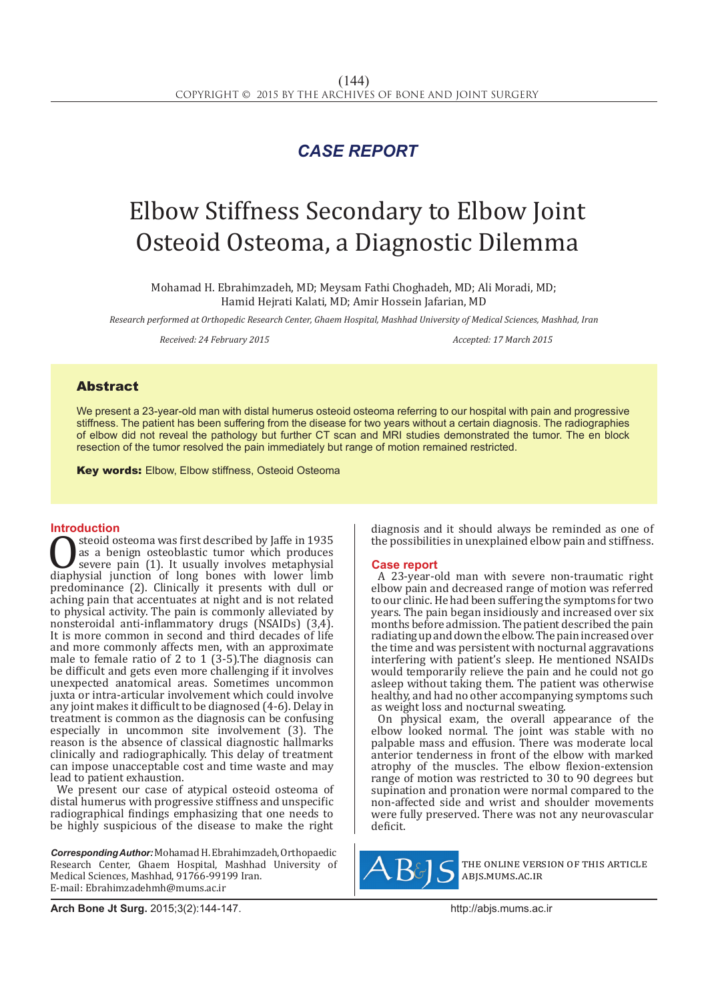## *CASE REPORT*

# Elbow Stiffness Secondary to Elbow Joint Osteoid Osteoma, a Diagnostic Dilemma

Mohamad H. Ebrahimzadeh, MD; Meysam Fathi Choghadeh, MD; Ali Moradi, MD; Hamid Hejrati Kalati, MD; Amir Hossein Jafarian, MD

*Research performed at Orthopedic Research Center, Ghaem Hospital, Mashhad University of Medical Sciences, Mashhad, Iran*

*Received: 24 February 2015 Accepted: 17 March 2015*

### Abstract

We present a 23-year-old man with distal humerus osteoid osteoma referring to our hospital with pain and progressive stiffness. The patient has been suffering from the disease for two years without a certain diagnosis. The radiographies of elbow did not reveal the pathology but further CT scan and MRI studies demonstrated the tumor. The en block resection of the tumor resolved the pain immediately but range of motion remained restricted.

**Key words: Elbow, Elbow stiffness, Osteoid Osteoma** 

**Introduction**<br>steoid osteoma was first described by laffe in 1935 Steoid osteoma was first described by Jaffe in 1935<br>as a benign osteoblastic tumor which produces<br>severe pain (1). It usually involves metaphysial<br>diaphysial junction of long bones with lower limb<br>predominance (2) Clinical as a benign osteoblastic tumor which produces severe pain (1). It usually involves metaphysial diaphysial junction of long bones with lower limb predominance (2). Clinically it presents with dull or aching pain that accentuates at night and is not related to physical activity. The pain is commonly alleviated by nonsteroidal anti-inflammatory drugs (NSAIDs) (3,4). It is more common in second and third decades of life and more commonly affects men, with an approximate male to female ratio of 2 to 1 (3-5).The diagnosis can be difficult and gets even more challenging if it involves unexpected anatomical areas. Sometimes uncommon juxta or intra-articular involvement which could involve any joint makes it difficult to be diagnosed (4-6). Delay in treatment is common as the diagnosis can be confusing especially in uncommon site involvement (3). The reason is the absence of classical diagnostic hallmarks clinically and radiographically. This delay of treatment can impose unacceptable cost and time waste and may lead to patient exhaustion.

We present our case of atypical osteoid osteoma of distal humerus with progressive stiffness and unspecific radiographical findings emphasizing that one needs to be highly suspicious of the disease to make the right

*Corresponding Author:*Mohamad H. Ebrahimzadeh, Orthopaedic Research Center, Ghaem Hospital, Mashhad University of Medical Sciences, Mashhad, 91766-99199 Iran. E-mail: Ebrahimzadehmh@mums.ac.ir

diagnosis and it should always be reminded as one of the possibilities in unexplained elbow pain and stiffness.

### **Case report**

A 23-year-old man with severe non-traumatic right elbow pain and decreased range of motion was referred to our clinic. He had been suffering the symptoms for two years. The pain began insidiously and increased over six months before admission. The patient described the pain radiating up and down the elbow. The pain increased over the time and was persistent with nocturnal aggravations interfering with patient's sleep. He mentioned NSAIDs would temporarily relieve the pain and he could not go asleep without taking them. The patient was otherwise healthy, and had no other accompanying symptoms such as weight loss and nocturnal sweating.

On physical exam, the overall appearance of the elbow looked normal. The joint was stable with no palpable mass and effusion. There was moderate local anterior tenderness in front of the elbow with marked atrophy of the muscles. The elbow flexion-extension range of motion was restricted to 30 to 90 degrees but supination and pronation were normal compared to the non-affected side and wrist and shoulder movements were fully preserved. There was not any neurovascular deficit.



the online version of this article abjs.mums.ac.ir

**Arch Bone Jt Surg.** 2015;3(2):144-147.http://abjs.mums.ac.ir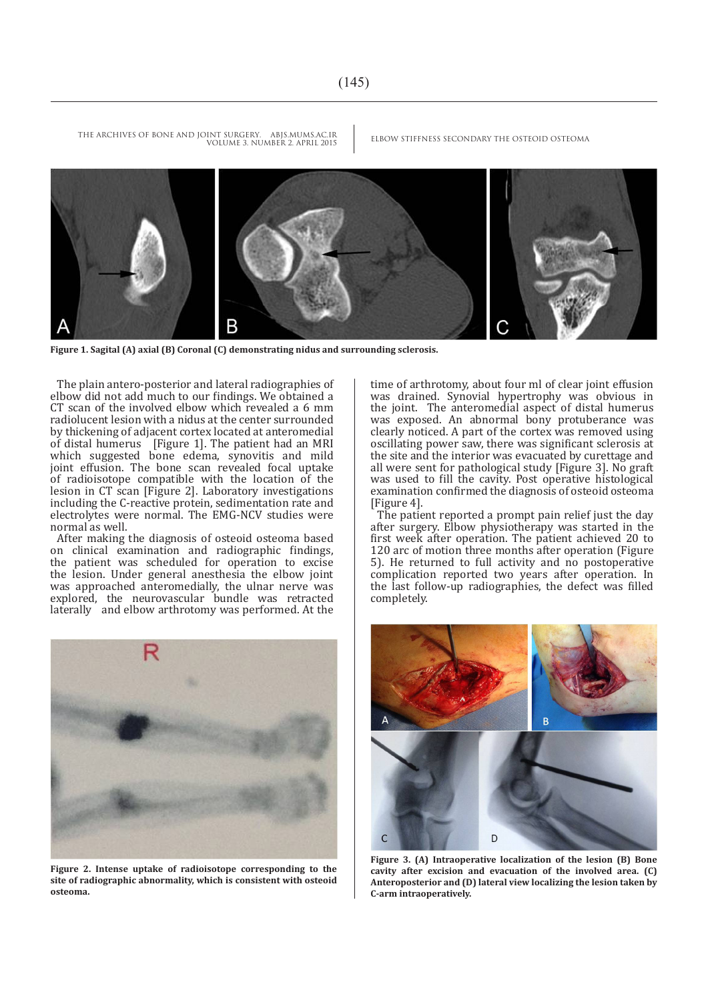THE ARCHIVES OF BONE AND JOINT SURGERY. ABJS.MUMS.AC.IR ELBOW STIFFNESS SECONDARY THE OSTEOID OSTEOMA VOLUME 3. NUMBER 2. APRIL 2015



**Figure 1. Sagital (A) axial (B) Coronal (C) demonstrating nidus and surrounding sclerosis.**

The plain antero-posterior and lateral radiographies of elbow did not add much to our findings. We obtained a CT scan of the involved elbow which revealed a 6 mm radiolucent lesion with a nidus at the center surrounded by thickening of adjacent cortex located at anteromedial of distal humerus [Figure 1]. The patient had an MRI which suggested bone edema, synovitis and mild joint effusion. The bone scan revealed focal uptake of radioisotope compatible with the location of the lesion in CT scan [Figure 2]. Laboratory investigations including the C-reactive protein, sedimentation rate and electrolytes were normal. The EMG-NCV studies were normal as well.

After making the diagnosis of osteoid osteoma based on clinical examination and radiographic findings, the patient was scheduled for operation to excise the lesion. Under general anesthesia the elbow joint was approached anteromedially, the ulnar nerve was explored, the neurovascular bundle was retracted laterally and elbow arthrotomy was performed. At the



**Figure 2. Intense uptake of radioisotope corresponding to the site of radiographic abnormality, which is consistent with osteoid osteoma.**

time of arthrotomy, about four ml of clear joint effusion was drained. Synovial hypertrophy was obvious in the joint. The anteromedial aspect of distal humerus was exposed. An abnormal bony protuberance was clearly noticed. A part of the cortex was removed using oscillating power saw, there was significant sclerosis at the site and the interior was evacuated by curettage and all were sent for pathological study [Figure 3]. No graft was used to fill the cavity. Post operative histological examination confirmed the diagnosis of osteoid osteoma [Figure 4].

The patient reported a prompt pain relief just the day after surgery. Elbow physiotherapy was started in the first week after operation. The patient achieved 20 to 120 arc of motion three months after operation (Figure 5). He returned to full activity and no postoperative complication reported two years after operation. In the last follow-up radiographies, the defect was filled completely.



**Figure 3. (A) Intraoperative localization of the lesion (B) Bone cavity after excision and evacuation of the involved area. (C) Anteroposterior and (D) lateral view localizing the lesion taken by C-arm intraoperatively.**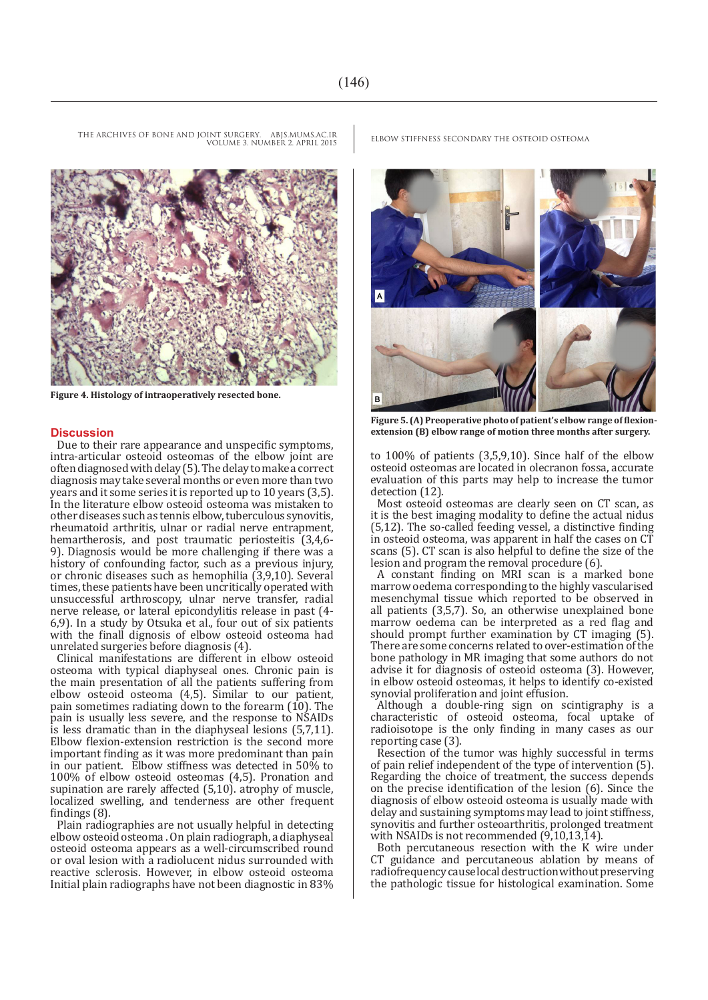VOLUME 3. NUMBER 2. APRIL 2015

**Figure 4. Histology of intraoperatively resected bone.**

### **Discussion**

Due to their rare appearance and unspecific symptoms, intra-articular osteoid osteomas of the elbow joint are often diagnosed with delay (5). The delay to make a correct diagnosis may take several months or even more than two years and it some series it is reported up to 10 years (3,5). In the literature elbow osteoid osteoma was mistaken to other diseases such as tennis elbow, tuberculous synovitis, rheumatoid arthritis, ulnar or radial nerve entrapment, hemartherosis, and post traumatic periosteitis (3,4,6- 9). Diagnosis would be more challenging if there was a history of confounding factor, such as a previous injury, or chronic diseases such as hemophilia (3,9,10). Several times, these patients have been uncritically operated with unsuccessful arthroscopy, ulnar nerve transfer, radial nerve release, or lateral epicondylitis release in past (4- 6,9). In a study by Otsuka et al., four out of six patients with the finall dignosis of elbow osteoid osteoma had unrelated surgeries before diagnosis (4).

Clinical manifestations are different in elbow osteoid osteoma with typical diaphyseal ones. Chronic pain is the main presentation of all the patients suffering from elbow osteoid osteoma (4,5). Similar to our patient, pain sometimes radiating down to the forearm  $(10)$ . The pain is usually less severe, and the response to NSAIDs is less dramatic than in the diaphyseal lesions (5,7,11). Elbow flexion-extension restriction is the second more important finding as it was more predominant than pain in our patient. Elbow stiffness was detected in 50% to 100% of elbow osteoid osteomas (4,5). Pronation and supination are rarely affected (5,10). atrophy of muscle, localized swelling, and tenderness are other frequent findings (8).

Plain radiographies are not usually helpful in detecting elbow osteoid osteoma . On plain radiograph, a diaphyseal osteoid osteoma appears as a well-circumscribed round or oval lesion with a radiolucent nidus surrounded with reactive sclerosis. However, in elbow osteoid osteoma Initial plain radiographs have not been diagnostic in 83%

THE ARCHIVES OF BONE AND JOINT SURGERY. ABJS.MUMS.AC.IR ELBOW STIFFNESS SECONDARY THE OSTEOID OSTEOMA



**Figure 5. (A) Preoperative photo of patient's elbow range of flexionextension (B) elbow range of motion three months after surgery.**

to 100% of patients (3,5,9,10). Since half of the elbow osteoid osteomas are located in olecranon fossa, accurate evaluation of this parts may help to increase the tumor detection (12).

Most osteoid osteomas are clearly seen on CT scan, as it is the best imaging modality to define the actual nidus (5,12). The so-called feeding vessel, a distinctive finding in osteoid osteoma, was apparent in half the cases on CT scans (5). CT scan is also helpful to define the size of the lesion and program the removal procedure (6).

A constant finding on MRI scan is a marked bone marrow oedema corresponding to the highly vascularised mesenchymal tissue which reported to be observed in all patients (3,5,7). So, an otherwise unexplained bone marrow oedema can be interpreted as a red flag and should prompt further examination by CT imaging (5). There are some concerns related to over-estimation of the bone pathology in MR imaging that some authors do not advise it for diagnosis of osteoid osteoma (3). However, in elbow osteoid osteomas, it helps to identify co-existed synovial proliferation and joint effusion.

Although a double-ring sign on scintigraphy is a characteristic of osteoid osteoma, focal uptake of radioisotope is the only finding in many cases as our reporting case (3).

Resection of the tumor was highly successful in terms of pain relief independent of the type of intervention (5). Regarding the choice of treatment, the success depends on the precise identification of the lesion (6). Since the diagnosis of elbow osteoid osteoma is usually made with delay and sustaining symptoms may lead to joint stiffness, synovitis and further osteoarthritis, prolonged treatment with NSAIDs is not recommended (9,10,13,14).

Both percutaneous resection with the K wire under CT guidance and percutaneous ablation by means of radiofrequency cause local destruction without preserving the pathologic tissue for histological examination. Some